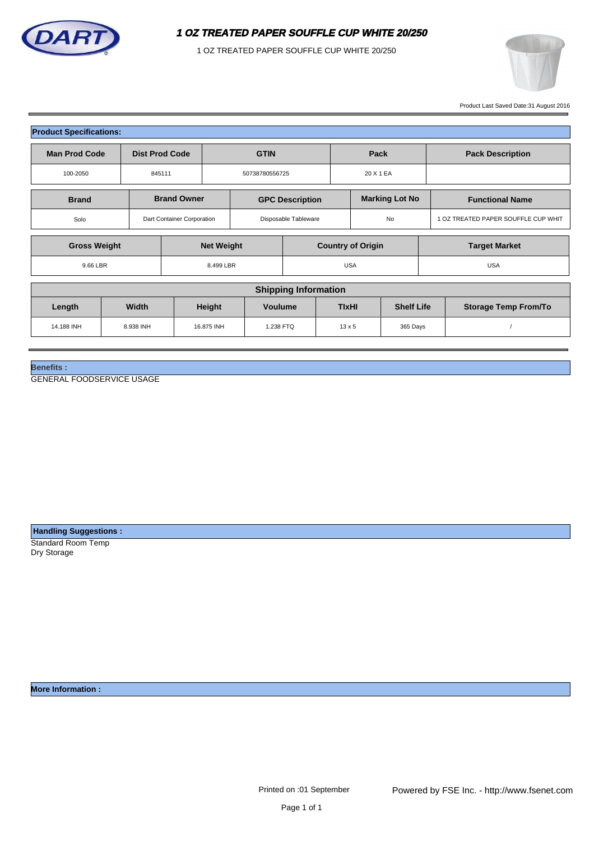

1 OZ TREATED PAPER SOUFFLE CUP WHITE 20/250



Product Last Saved Date:31 August 2016

| <b>Product Specifications:</b> |              |                       |                            |                          |                      |                          |  |                       |                   |            |                                     |  |  |  |
|--------------------------------|--------------|-----------------------|----------------------------|--------------------------|----------------------|--------------------------|--|-----------------------|-------------------|------------|-------------------------------------|--|--|--|
| <b>Man Prod Code</b>           |              | <b>Dist Prod Code</b> |                            | <b>GTIN</b>              |                      |                          |  | Pack                  |                   |            | <b>Pack Description</b>             |  |  |  |
| 100-2050                       |              | 845111                |                            |                          | 50738780556725       |                          |  | 20 X 1 EA             |                   |            |                                     |  |  |  |
| <b>Brand</b>                   |              |                       | <b>Brand Owner</b>         |                          |                      | <b>GPC Description</b>   |  | <b>Marking Lot No</b> |                   |            | <b>Functional Name</b>              |  |  |  |
| Solo                           |              |                       | Dart Container Corporation |                          | Disposable Tableware |                          |  | <b>No</b>             |                   |            | 1 OZ TREATED PAPER SOUFFLE CUP WHIT |  |  |  |
| <b>Gross Weight</b>            |              |                       | <b>Net Weight</b>          |                          |                      | <b>Country of Origin</b> |  |                       |                   |            | <b>Target Market</b>                |  |  |  |
| 9.66 LBR                       |              |                       | 8.499 LBR                  |                          |                      | <b>USA</b>               |  |                       |                   | <b>USA</b> |                                     |  |  |  |
| <b>Shipping Information</b>    |              |                       |                            |                          |                      |                          |  |                       |                   |            |                                     |  |  |  |
| Length                         | <b>Width</b> |                       |                            | Height<br><b>Voulume</b> |                      |                          |  | <b>TIxHI</b>          | <b>Shelf Life</b> |            | <b>Storage Temp From/To</b>         |  |  |  |

14.188 INH 8.938 INH 16.875 INH 1.238 FTQ 13 x 5 365 Days /

**Benefits :**

GENERAL FOODSERVICE USAGE

 **Handling Suggestions :**

Standard Room Temp Dry Storage

**More Information :**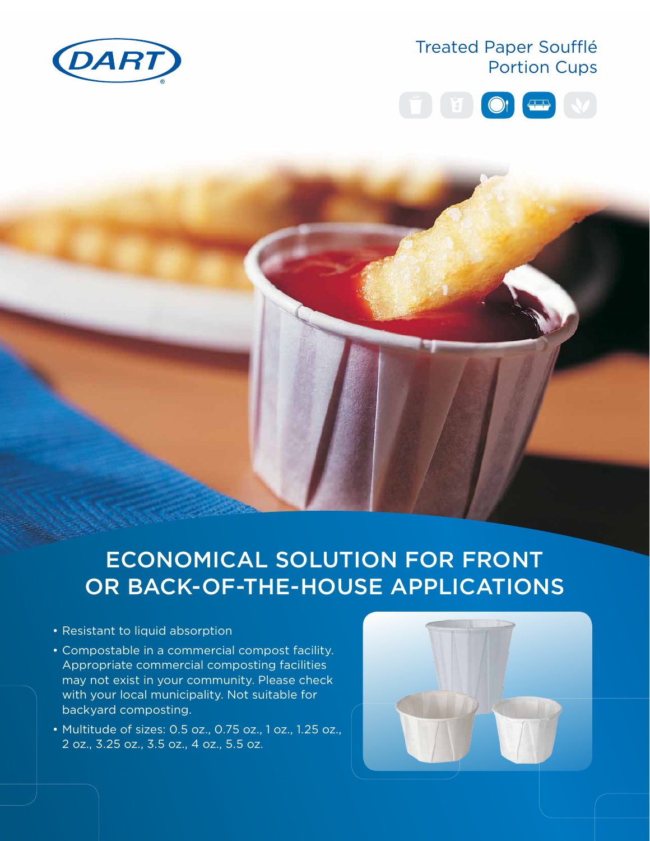

## Treated Paper Soufflé Portion Cups



# ECONOMICAL SOLUTION FOR FRONT OR BACK-OF-THE-HOUSE APPLICATIONS

- Resistant to liquid absorption
- Compostable in a commercial compost facility. Appropriate commercial composting facilities may not exist in your community. Please check with your local municipality. Not suitable for backyard composting.
- Multitude of sizes: 0.5 oz., 0.75 oz., 1 oz., 1.25 oz., 2 oz., 3.25 oz., 3.5 oz., 4 oz., 5.5 oz.